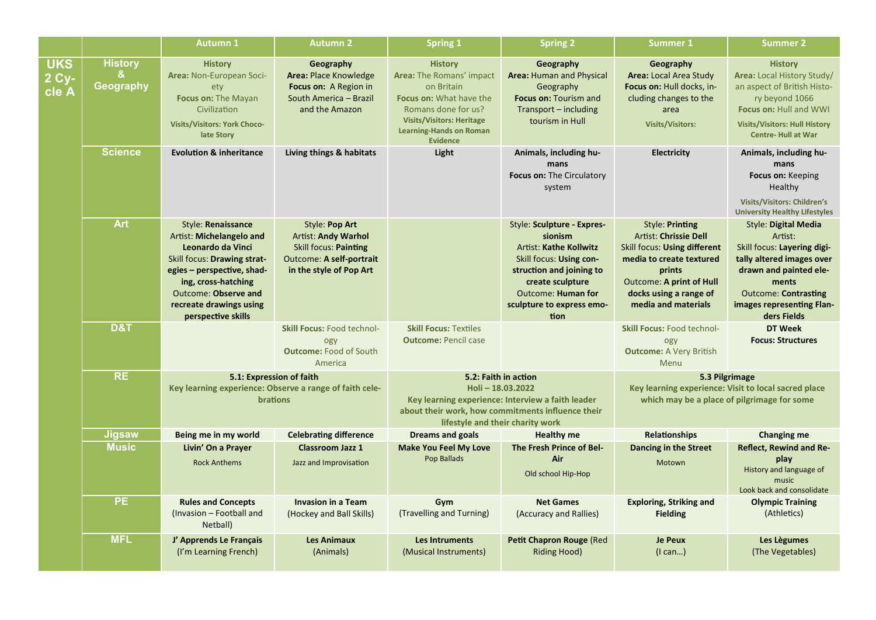|                              |                                         | <b>Autumn 1</b>                                                                                                                                                                                                                  | <b>Autumn 2</b>                                                                                                                     | <b>Spring 1</b>                                                                                                                                                                                     | <b>Spring 2</b>                                                                                                                                                                                                     | <b>Summer 1</b>                                                                                                                                                                                           | <b>Summer 2</b>                                                                                                                                                                                                  |
|------------------------------|-----------------------------------------|----------------------------------------------------------------------------------------------------------------------------------------------------------------------------------------------------------------------------------|-------------------------------------------------------------------------------------------------------------------------------------|-----------------------------------------------------------------------------------------------------------------------------------------------------------------------------------------------------|---------------------------------------------------------------------------------------------------------------------------------------------------------------------------------------------------------------------|-----------------------------------------------------------------------------------------------------------------------------------------------------------------------------------------------------------|------------------------------------------------------------------------------------------------------------------------------------------------------------------------------------------------------------------|
| <b>UKS</b><br>2 Cy-<br>cle A | <b>History</b><br>&<br><b>Geography</b> | <b>History</b><br>Area: Non-European Soci-<br>ety<br>Focus on: The Mayan<br>Civilization<br><b>Visits/Visitors: York Choco-</b><br>late Story                                                                                    | Geography<br>Area: Place Knowledge<br>Focus on: A Region in<br>South America - Brazil<br>and the Amazon                             | <b>History</b><br>Area: The Romans' impact<br>on Britain<br>Focus on: What have the<br>Romans done for us?<br><b>Visits/Visitors: Heritage</b><br><b>Learning-Hands on Roman</b><br><b>Evidence</b> | Geography<br>Area: Human and Physical<br>Geography<br>Focus on: Tourism and<br>Transport - including<br>tourism in Hull                                                                                             | Geography<br><b>Area: Local Area Study</b><br>Focus on: Hull docks, in-<br>cluding changes to the<br>area<br><b>Visits/Visitors:</b>                                                                      | <b>History</b><br><b>Area: Local History Study/</b><br>an aspect of British Histo-<br>ry beyond 1066<br><b>Focus on: Hull and WWI</b><br><b>Visits/Visitors: Hull History</b><br><b>Centre-Hull at War</b>       |
|                              | <b>Science</b>                          | <b>Evolution &amp; inheritance</b>                                                                                                                                                                                               | Living things & habitats                                                                                                            | Light                                                                                                                                                                                               | Animals, including hu-<br>mans<br>Focus on: The Circulatory<br>system                                                                                                                                               | <b>Electricity</b>                                                                                                                                                                                        | Animals, including hu-<br>mans<br>Focus on: Keeping<br>Healthy<br><b>Visits/Visitors: Children's</b><br><b>University Healthy Lifestyles</b>                                                                     |
|                              | <b>Art</b>                              | Style: Renaissance<br>Artist: Michelangelo and<br>Leonardo da Vinci<br>Skill focus: Drawing strat-<br>egies - perspective, shad-<br>ing, cross-hatching<br>Outcome: Observe and<br>recreate drawings using<br>perspective skills | Style: Pop Art<br><b>Artist: Andy Warhol</b><br>Skill focus: Painting<br><b>Outcome: A self-portrait</b><br>in the style of Pop Art |                                                                                                                                                                                                     | Style: Sculpture - Expres-<br>sionism<br><b>Artist: Kathe Kollwitz</b><br>Skill focus: Using con-<br>struction and joining to<br>create sculpture<br><b>Outcome: Human for</b><br>sculpture to express emo-<br>tion | Style: Printing<br><b>Artist: Chrissie Dell</b><br>Skill focus: Using different<br>media to create textured<br>prints<br><b>Outcome: A print of Hull</b><br>docks using a range of<br>media and materials | <b>Style: Digital Media</b><br>Artist:<br>Skill focus: Layering digi-<br>tally altered images over<br>drawn and painted ele-<br>ments<br><b>Outcome: Contrasting</b><br>images representing Flan-<br>ders Fields |
|                              | D&T                                     |                                                                                                                                                                                                                                  | <b>Skill Focus: Food technol-</b><br>ogy<br><b>Outcome: Food of South</b><br>America                                                | <b>Skill Focus: Textiles</b><br><b>Outcome: Pencil case</b>                                                                                                                                         |                                                                                                                                                                                                                     | <b>Skill Focus: Food technol-</b><br>ogy<br><b>Outcome: A Very British</b><br>Menu                                                                                                                        | <b>DT Week</b><br><b>Focus: Structures</b>                                                                                                                                                                       |
|                              | <b>RE</b>                               | 5.1: Expression of faith<br>Key learning experience: Observe a range of faith cele-<br>brations                                                                                                                                  |                                                                                                                                     | 5.2: Faith in action<br>Holi-18.03.2022<br>Key learning experience: Interview a faith leader<br>about their work, how commitments influence their<br>lifestyle and their charity work               |                                                                                                                                                                                                                     | 5.3 Pilgrimage<br>Key learning experience: Visit to local sacred place<br>which may be a place of pilgrimage for some                                                                                     |                                                                                                                                                                                                                  |
|                              | <b>Jigsaw</b>                           | Being me in my world                                                                                                                                                                                                             | <b>Celebrating difference</b>                                                                                                       | <b>Dreams and goals</b>                                                                                                                                                                             | <b>Healthy me</b>                                                                                                                                                                                                   | <b>Relationships</b>                                                                                                                                                                                      | Changing me                                                                                                                                                                                                      |
|                              | <b>Music</b>                            | Livin' On a Prayer<br><b>Rock Anthems</b>                                                                                                                                                                                        | <b>Classroom Jazz 1</b><br>Jazz and Improvisation                                                                                   | <b>Make You Feel My Love</b><br>Pop Ballads                                                                                                                                                         | The Fresh Prince of Bel-<br>Air<br>Old school Hip-Hop                                                                                                                                                               | Dancing in the Street<br>Motown                                                                                                                                                                           | <b>Reflect, Rewind and Re-</b><br>play<br>History and language of<br>music<br>Look back and consolidate                                                                                                          |
|                              | <b>PE</b>                               | <b>Rules and Concepts</b><br>(Invasion - Football and<br>Netball)                                                                                                                                                                | <b>Invasion in a Team</b><br>(Hockey and Ball Skills)                                                                               | Gym<br>(Travelling and Turning)                                                                                                                                                                     | <b>Net Games</b><br>(Accuracy and Rallies)                                                                                                                                                                          | <b>Exploring, Striking and</b><br><b>Fielding</b>                                                                                                                                                         | <b>Olympic Training</b><br>(Athletics)                                                                                                                                                                           |
|                              | <b>MFL</b>                              | J' Apprends Le Français<br>(I'm Learning French)                                                                                                                                                                                 | <b>Les Animaux</b><br>(Animals)                                                                                                     | <b>Les Intruments</b><br>(Musical Instruments)                                                                                                                                                      | Petit Chapron Rouge (Red<br><b>Riding Hood)</b>                                                                                                                                                                     | <b>Je Peux</b><br>$($ l can $)$                                                                                                                                                                           | Les Lègumes<br>(The Vegetables)                                                                                                                                                                                  |